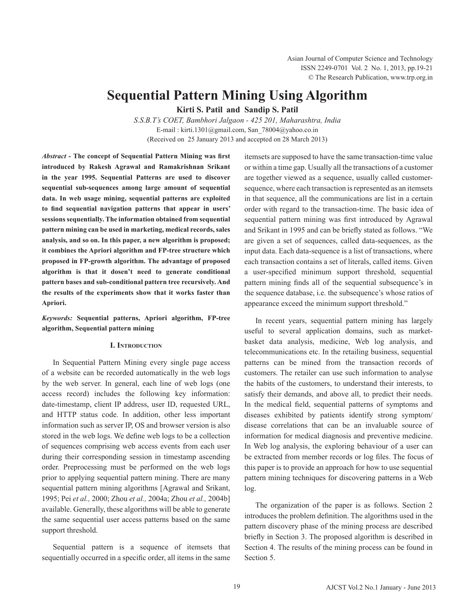# **Sequential Pattern Mining Using Algorithm**

**Kirti S. Patil and Sandip S. Patil**

*S.S.B.T's COET, Bambhori Jalgaon - 425 201, Maharashtra, India* E-mail : kirti.1301@gmail.com, San\_78004@yahoo.co.in (Received on 25 January 2013 and accepted on 28 March 2013)

*Abstract -* **The concept of Sequential Pattern Mining was first introduced by Rakesh Agrawal and Ramakrishnan Srikant in the year 1995. Sequential Patterns are used to discover sequential sub-sequences among large amount of sequential data. In web usage mining, sequential patterns are exploited to find sequential navigation patterns that appear in users' sessions sequentially. The information obtained from sequential pattern mining can be used in marketing, medical records, sales analysis, and so on. In this paper, a new algorithm is proposed; it combines the Apriori algorithm and FP-tree structure which proposed in FP-growth algorithm. The advantage of proposed algorithm is that it dosen't need to generate conditional pattern bases and sub-conditional pattern tree recursively. And the results of the experiments show that it works faster than Apriori.**

*Keywords:* **Sequential patterns, Apriori algorithm, FP-tree algorithm, Sequential pattern mining**

## **I. Introduction**

In Sequential Pattern Mining every single page access of a website can be recorded automatically in the web logs by the web server. In general, each line of web logs (one access record) includes the following key information: date-timestamp, client IP address, user ID, requested URL, and HTTP status code. In addition, other less important information such as server IP, OS and browser version is also stored in the web logs. We define web logs to be a collection of sequences comprising web access events from each user during their corresponding session in timestamp ascending order. Preprocessing must be performed on the web logs prior to applying sequential pattern mining. There are many sequential pattern mining algorithms [Agrawal and Srikant, 1995; Pei *et al.,* 2000; Zhou *et al.,* 2004a; Zhou *et al.,* 2004b] available. Generally, these algorithms will be able to generate the same sequential user access patterns based on the same support threshold.

Sequential pattern is a sequence of itemsets that sequentially occurred in a specific order, all items in the same itemsets are supposed to have the same transaction-time value or within a time gap. Usually all the transactions of a customer are together viewed as a sequence, usually called customersequence, where each transaction is represented as an itemsets in that sequence, all the communications are list in a certain order with regard to the transaction-time. The basic idea of sequential pattern mining was first introduced by Agrawal and Srikant in 1995 and can be briefly stated as follows. "We are given a set of sequences, called data-sequences, as the input data. Each data-sequence is a list of transactions, where each transaction contains a set of literals, called items. Given a user-specified minimum support threshold, sequential pattern mining finds all of the sequential subsequence's in the sequence database, i.e. the subsequence's whose ratios of appearance exceed the minimum support threshold."

In recent years, sequential pattern mining has largely useful to several application domains, such as marketbasket data analysis, medicine, Web log analysis, and telecommunications etc. In the retailing business, sequential patterns can be mined from the transaction records of customers. The retailer can use such information to analyse the habits of the customers, to understand their interests, to satisfy their demands, and above all, to predict their needs. In the medical field, sequential patterns of symptoms and diseases exhibited by patients identify strong symptom/ disease correlations that can be an invaluable source of information for medical diagnosis and preventive medicine. In Web log analysis, the exploring behaviour of a user can be extracted from member records or log files. The focus of this paper is to provide an approach for how to use sequential pattern mining techniques for discovering patterns in a Web log.

The organization of the paper is as follows. Section 2 introduces the problem definition. The algorithms used in the pattern discovery phase of the mining process are described briefly in Section 3. The proposed algorithm is described in Section 4. The results of the mining process can be found in Section 5.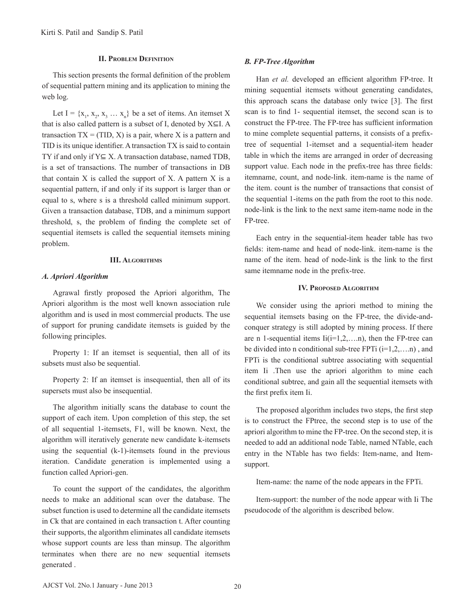## **II. Problem Definition**

 This section presents the formal definition of the problem of sequential pattern mining and its application to mining the web log.

Let I =  $\{x_1, x_2, x_3, \ldots, x_n\}$  be a set of items. An itemset X that is also called pattern is a subset of I, denoted by  $X \subseteq I$ . A transaction  $TX = (TID, X)$  is a pair, where X is a pattern and TID is its unique identifier.Atransaction TX is said to contain TY if and only if Y⊆ X. A transaction database, named TDB, is a set of transactions. The number of transactions in DB that contain  $X$  is called the support of  $X$ . A pattern  $X$  is a sequential pattern, if and only if its support is larger than or equal to s, where s is a threshold called minimum support. Given a transaction database, TDB, and a minimum support threshold, s, the problem of finding the complete set of sequential itemsets is called the sequential itemsets mining problem.

#### **III. Algorithms**

## *A. Apriori Algorithm*

 Agrawal firstly proposed the Apriori algorithm, The Apriori algorithm is the most well known association rule algorithm and is used in most commercial products. The use of support for pruning candidate itemsets is guided by the following principles.

Property 1: If an itemset is sequential, then all of its subsets must also be sequential.

Property 2: If an itemset is insequential, then all of its supersets must also be insequential.

The algorithm initially scans the database to count the support of each item. Upon completion of this step, the set of all sequential 1-itemsets, F1, will be known. Next, the algorithm will iteratively generate new candidate k-itemsets using the sequential (k-1)-itemsets found in the previous iteration. Candidate generation is implemented using a function called Apriori-gen.

To count the support of the candidates, the algorithm needs to make an additional scan over the database. The subset function is used to determine all the candidate itemsets in Ck that are contained in each transaction t. After counting their supports, the algorithm eliminates all candidate itemsets whose support counts are less than minsup. The algorithm terminates when there are no new sequential itemsets generated .

#### *B. FP-Tree Algorithm*

Han *et al.* developed an efficient algorithm FP-tree. It mining sequential itemsets without generating candidates, this approach scans the database only twice [3]. The first scan is to find 1- sequential itemset, the second scan is to construct the FP-tree. The FP-tree has sufficient information to mine complete sequential patterns, it consists of a prefixtree of sequential 1-itemset and a sequential-item header table in which the items are arranged in order of decreasing support value. Each node in the prefix-tree has three fields: itemname, count, and node-link. item-name is the name of the item. count is the number of transactions that consist of the sequential 1-items on the path from the root to this node. node-link is the link to the next same item-name node in the FP-tree.

Each entry in the sequential-item header table has two fields: item-name and head of node-link. item-name is the name of the item. head of node-link is the link to the first same itemname node in the prefix-tree.

#### **IV. Proposed Algorithm**

We consider using the apriori method to mining the sequential itemsets basing on the FP-tree, the divide-andconquer strategy is still adopted by mining process. If there are n 1-sequential items  $I_i(i=1,2,...n)$ , then the FP-tree can be divided into n conditional sub-tree FPTi  $(i=1,2,...n)$ , and FPTi is the conditional subtree associating with sequential item Ii .Then use the apriori algorithm to mine each conditional subtree, and gain all the sequential itemsets with the first prefix item Ii.

 The proposed algorithm includes two steps, the first step is to construct the FPtree, the second step is to use of the apriori algorithm to mine the FP-tree. On the second step, it is needed to add an additional node Table, named NTable, each entry in the NTable has two fields: Item-name, and Itemsupport.

Item-name: the name of the node appears in the FPTi.

Item-support: the number of the node appear with Ii The pseudocode of the algorithm is described below.